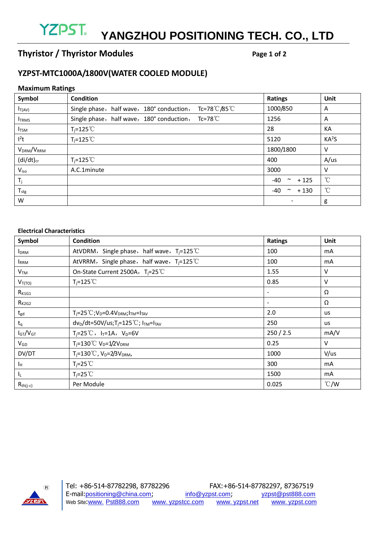# **YZPST. YANGZHOU POSITIONING TECH. CO., LTD**

# **Thyristor / Thyristor Modules** Page 1 of 2

### **YZPST-MTC1000A/1800V(WATER COOLED MODULE)**

#### **Maximum Ratings**

| Symbol                             | <b>Condition</b>                                                  | <b>Ratings</b>          | Unit              |
|------------------------------------|-------------------------------------------------------------------|-------------------------|-------------------|
| $I_{T(AV)}$                        | Tc=78℃/85℃<br>Single phase, half wave, 180° conduction,           | 1000/850                | A                 |
| <b>ITRMS</b>                       | Single phase, half wave, $180^\circ$ conduction, Tc=78 $^\circ$ C | 1256                    | A                 |
| $I_{\text{TSM}}$                   | $T_i = 125^{\circ}$                                               | 28                      | KA                |
| l <sup>2</sup> t                   | $T_i = 125^{\circ}$                                               | 5120                    | KA <sup>2</sup> S |
| V <sub>DRM</sub> /V <sub>RRM</sub> |                                                                   | 1800/1800               | V                 |
| $(di/dt)_{cr}$                     | $T_i = 125^{\circ}$                                               | 400                     | A/us              |
| V <sub>iso</sub>                   | A.C.1minute                                                       | 3000                    | v                 |
| $T_j$                              |                                                                   | -40<br>$+125$<br>$\sim$ | $^{\circ}$ C      |
| $T_{\text{stg}}$                   |                                                                   | -40<br>$+130$<br>$\sim$ | $^{\circ}$ C      |
| W                                  |                                                                   |                         | g                 |

#### **Electrical Characteristics**

| Symbol          | Condition                                                 | <b>Ratings</b> | Unit          |
|-----------------|-----------------------------------------------------------|----------------|---------------|
| <b>I</b> DRM    | AtVDRM, Single phase, half wave, $T_i = 125^{\circ}C$     | 100            | mA            |
| <b>IRRM</b>     | AtVRRM, Single phase, half wave, $T_i = 125^{\circ}C$     | 100            | mA            |
| V <sub>TM</sub> | On-State Current 2500A, $T_i = 25^{\circ}$ C              | 1.55           | v             |
| $V_{T(TO)}$     | $T_i = 125^{\circ}$                                       | 0.85           | v             |
| $R_{K1G1}$      |                                                           |                | Ω             |
| $R_{K2G2}$      |                                                           | $\sim$         | Ω             |
| $t_{gd}$        | $T_i = 25^{\circ}C; V_D = 0.4V_{DRM}; I_{TM} = I_{TAV}$   | 2.0            | us            |
| $t_q$           | $dv_D/dt = 50V/us; T_j = 125°C; ITM=ITAV$                 | 250            | us            |
| $I_{GT}/V_{GT}$ | $T_i = 25^{\circ}C$ , $I_T = 1A$ , $V_D = 6V$             | 250 / 2.5      | mA/V          |
| $V_{GD}$        | $T_i = 130^{\circ}$ C V <sub>D</sub> =1/2V <sub>DRM</sub> | 0.25           | $\vee$        |
| DV/DT           | $T_i = 130 \degree C$ , $V_D = 2/3V_{DRM}$ ,              | 1000           | V/us          |
| Īн              | $T_i = 25^{\circ}$                                        | 300            | mA            |
| IL.             | $T_i = 25^{\circ}$                                        | 1500           | mA            |
| $R_{th(j-c)}$   | Per Module                                                | 0.025          | $\degree$ C/W |